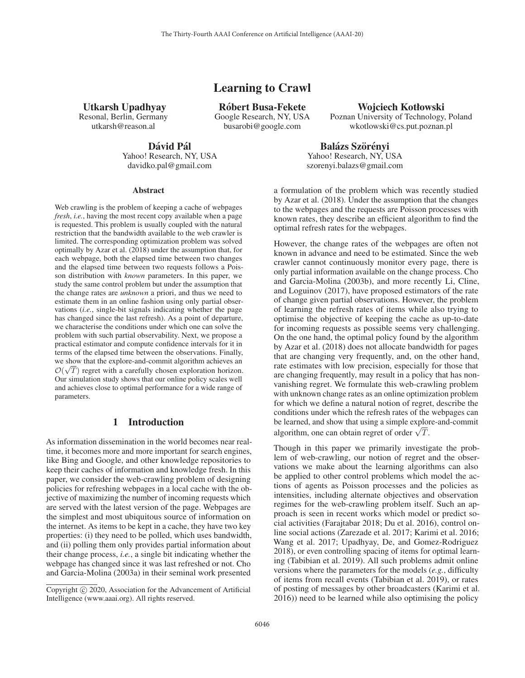# Learning to Crawl

Utkarsh Upadhyay Resonal, Berlin, Germany

utkarsh@reason.al

Róbert Busa-Fekete

Google Research, NY, USA busarobi@google.com

### Wojciech Kotłowski

Poznan University of Technology, Poland wkotlowski@cs.put.poznan.pl

## Dávid Pál

Yahoo! Research, NY, USA davidko.pal@gmail.com

Balázs Szörényi Yahoo! Research, NY, USA szorenyi.balazs@gmail.com

#### **Abstract**

Web crawling is the problem of keeping a cache of webpages *fresh*, *i.e.*, having the most recent copy available when a page is requested. This problem is usually coupled with the natural restriction that the bandwidth available to the web crawler is limited. The corresponding optimization problem was solved optimally by Azar et al. (2018) under the assumption that, for each webpage, both the elapsed time between two changes and the elapsed time between two requests follows a Poisson distribution with *known* parameters. In this paper, we study the same control problem but under the assumption that the change rates are *unknown* a priori, and thus we need to estimate them in an online fashion using only partial observations (*i.e.*, single-bit signals indicating whether the page has changed since the last refresh). As a point of departure, we characterise the conditions under which one can solve the problem with such partial observability. Next, we propose a practical estimator and compute confidence intervals for it in terms of the elapsed time between the observations. Finally, we show that the explore-and-commit algorithm achieves an  $O(\sqrt{T})$  regret with a carefully chosen exploration horizon<br>Our simulation study shows that our online policy scales well  $\mathcal{O}(\sqrt{T})$  regret with a carefully chosen exploration horizon. and achieves close to optimal performance for a wide range of parameters.

### 1 Introduction

As information dissemination in the world becomes near realtime, it becomes more and more important for search engines, like Bing and Google, and other knowledge repositories to keep their caches of information and knowledge fresh. In this paper, we consider the web-crawling problem of designing policies for refreshing webpages in a local cache with the objective of maximizing the number of incoming requests which are served with the latest version of the page. Webpages are the simplest and most ubiquitous source of information on the internet. As items to be kept in a cache, they have two key properties: (i) they need to be polled, which uses bandwidth, and (ii) polling them only provides partial information about their change process, *i.e.*, a single bit indicating whether the webpage has changed since it was last refreshed or not. Cho and Garcia-Molina (2003a) in their seminal work presented

a formulation of the problem which was recently studied by Azar et al. (2018). Under the assumption that the changes to the webpages and the requests are Poisson processes with known rates, they describe an efficient algorithm to find the optimal refresh rates for the webpages.

However, the change rates of the webpages are often not known in advance and need to be estimated. Since the web crawler cannot continuously monitor every page, there is only partial information available on the change process. Cho and Garcia-Molina (2003b), and more recently Li, Cline, and Loguinov (2017), have proposed estimators of the rate of change given partial observations. However, the problem of learning the refresh rates of items while also trying to optimise the objective of keeping the cache as up-to-date for incoming requests as possible seems very challenging. On the one hand, the optimal policy found by the algorithm by Azar et al. (2018) does not allocate bandwidth for pages that are changing very frequently, and, on the other hand, rate estimates with low precision, especially for those that are changing frequently, may result in a policy that has nonvanishing regret. We formulate this web-crawling problem with unknown change rates as an online optimization problem for which we define a natural notion of regret, describe the conditions under which the refresh rates of the webpages can be learned, and show that using a simple explore-and-commit be learned, and show that using a simple explored algorithm, one can obtain regret of order  $\sqrt{T}$ .

Though in this paper we primarily investigate the problem of web-crawling, our notion of regret and the observations we make about the learning algorithms can also be applied to other control problems which model the actions of agents as Poisson processes and the policies as intensities, including alternate objectives and observation regimes for the web-crawling problem itself. Such an approach is seen in recent works which model or predict social activities (Farajtabar 2018; Du et al. 2016), control online social actions (Zarezade et al. 2017; Karimi et al. 2016; Wang et al. 2017; Upadhyay, De, and Gomez-Rodriguez 2018), or even controlling spacing of items for optimal learning (Tabibian et al. 2019). All such problems admit online versions where the parameters for the models (*e.g.*, difficulty of items from recall events (Tabibian et al. 2019), or rates of posting of messages by other broadcasters (Karimi et al. 2016)) need to be learned while also optimising the policy

Copyright (c) 2020, Association for the Advancement of Artificial Intelligence (www.aaai.org). All rights reserved.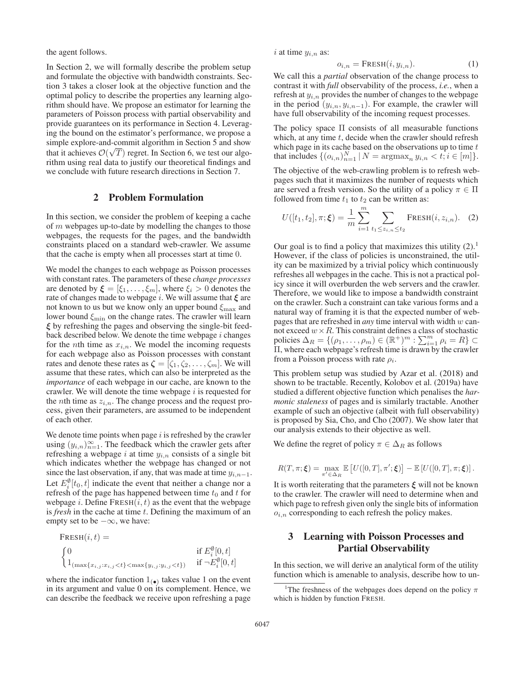the agent follows.

In Section 2, we will formally describe the problem setup and formulate the objective with bandwidth constraints. Section 3 takes a closer look at the objective function and the optimal policy to describe the properties any learning algorithm should have. We propose an estimator for learning the parameters of Poisson process with partial observability and provide guarantees on its performance in Section 4. Leveraging the bound on the estimator's performance, we propose a simple explore-and-commit algorithm in Section 5 and show that it achieves  $\mathcal{O}(\sqrt{T})$  regret. In Section 6, we test our algo-<br>rithm using real data to justify our theoretical findings and rithm using real data to justify our theoretical findings and we conclude with future research directions in Section 7.

# 2 Problem Formulation

In this section, we consider the problem of keeping a cache of m webpages up-to-date by modelling the changes to those webpages, the requests for the pages, and the bandwidth constraints placed on a standard web-crawler. We assume that the cache is empty when all processes start at time 0.

We model the changes to each webpage as Poisson processes with constant rates. The parameters of these *change processes* are denoted by  $\xi = [\xi_1, \ldots, \xi_m]$ , where  $\xi_i > 0$  denotes the rate of changes made to webpage i. We will assume that *ξ* are not known to us but we know only an upper bound  $\xi_{\text{max}}$  and lower bound  $\xi_{\text{min}}$  on the change rates. The crawler will learn *ξ* by refreshing the pages and observing the single-bit feedback described below. We denote the time webpage  $i$  changes for the *n*th time as  $x_{i,n}$ . We model the incoming requests for each webpage also as Poisson processes with constant rates and denote these rates as  $\zeta = [\zeta_1, \zeta_2, \ldots, \zeta_m]$ . We will assume that these rates, which can also be interpreted as the *importance* of each webpage in our cache, are known to the crawler. We will denote the time webpage  $i$  is requested for the *n*th time as  $z_{i,n}$ . The change process and the request process, given their parameters, are assumed to be independent of each other.

We denote time points when page  $i$  is refreshed by the crawler using  $(y_{i,n})_{n=1}^{\infty}$ . The feedback which the crawler gets after refreshing a webpage *i* at time  $y_{i,n}$  consists of a single bit refreshing a webpage i at time  $y_{i,n}$  consists of a single bit which indicates whether the webpage has changed or not since the last observation, if any, that was made at time  $y_{i,n-1}$ . Let  $E_i^{\emptyset}[t_0, t]$  indicate the event that neither a change nor a refresh of the page has happened between time  $t_0$  and  $t$  for refresh of the page has happened between time  $t_0$  and  $t$  for webpage *i*. Define  $FRESH(i, t)$  as the event that the webpage is *fresh* in the cache at time t. Defining the maximum of an empty set to be  $-\infty$ , we have:

\n
$$
\begin{aligned}\n &\text{FRESH}(i, t) = \\
&\left\{ \begin{aligned}\n &\text{if } E_i^{\emptyset}[0, t] \\
&\text{if } E_i^{\emptyset}[0, t] \\
&\text{if } \neg E_i^{\emptyset}[0, t]\n \end{aligned}\right.\n \end{aligned}
$$
\n

where the indicator function  $1_{\left( \bullet \right)}$  takes value 1 on the event in its argument and value 0 on its complement. Hence, we can describe the feedback we receive upon refreshing a page i at time  $y_{i,n}$  as:

$$
o_{i,n} = \text{FRESH}(i, y_{i,n}).\tag{1}
$$

 $o_{i,n} = \text{FRESH}(i, y_{i,n}).$  (1)<br>We call this a *partial* observation of the change process to contrast it with *full* observability of the process, *i.e.*, when a refresh at  $y_{i,n}$  provides the number of changes to the webpage in the period  $(y_{i,n}, y_{i,n-1})$ . For example, the crawler will have full observability of the incoming request processes.

The policy space Π consists of all measurable functions which, at any time  $t$ , decide when the crawler should refresh which page in its cache based on the observations up to time  $t$ that includes  $\{(o_{i,n})_{n=1}^N | N = \text{argmax}_n y_{i,n} < t; i \in [m] \}.$ 

The objective of the web-crawling problem is to refresh webpages such that it maximizes the number of requests which are served a fresh version. So the utility of a policy  $\pi \in \Pi$ followed from time  $t_1$  to  $t_2$  can be written as:

$$
U([t_1, t_2], \pi; \xi) = \frac{1}{m} \sum_{i=1}^{m} \sum_{t_1 \leq z_{i,n} \leq t_2} \text{FRESH}(i, z_{i,n}). \quad (2)
$$

Our goal is to find a policy that maximizes this utility  $(2)$ .<sup>1</sup> However, if the class of policies is unconstrained, the utility can be maximized by a trivial policy which continuously refreshes all webpages in the cache. This is not a practical policy since it will overburden the web servers and the crawler. Therefore, we would like to impose a bandwidth constraint on the crawler. Such a constraint can take various forms and a natural way of framing it is that the expected number of webpages that are refreshed in *any* time interval with width w cannot exceed  $w \times R$ . This constraint defines a class of stochastic policies  $\Delta_R = \{(\rho_1, \ldots, \rho_m) \in (\mathbb{R}^+)^m : \sum_{i=1}^m \rho_i = R\} \subset \Pi$  where each webpage's refresh time is drawn by the crawler <sup>Π</sup>, where each webpage's refresh time is drawn by the crawler from a Poisson process with rate  $\rho_i$ .

This problem setup was studied by Azar et al. (2018) and shown to be tractable. Recently, Kolobov et al. (2019a) have studied a different objective function which penalises the *harmonic staleness* of pages and is similarly tractable. Another example of such an objective (albeit with full observability) is proposed by Sia, Cho, and Cho (2007). We show later that our analysis extends to their objective as well.

We define the regret of policy  $\pi \in \Delta_R$  as follows

$$
R(T,\pi;\boldsymbol{\xi}) = \max_{\pi' \in \Delta_R} \mathbb{E}\left[U([0,T],\pi';\boldsymbol{\xi})\right] - \mathbb{E}\left[U([0,T],\pi;\boldsymbol{\xi})\right].
$$

It is worth reiterating that the parameters *ξ* will not be known to the crawler. The crawler will need to determine when and which page to refresh given only the single bits of information  $o_{i,n}$  corresponding to each refresh the policy makes.

# 3 Learning with Poisson Processes and Partial Observability

In this section, we will derive an analytical form of the utility function which is amenable to analysis, describe how to un-

<sup>&</sup>lt;sup>1</sup>The freshness of the webpages does depend on the policy  $\pi$ which is hidden by function FRESH.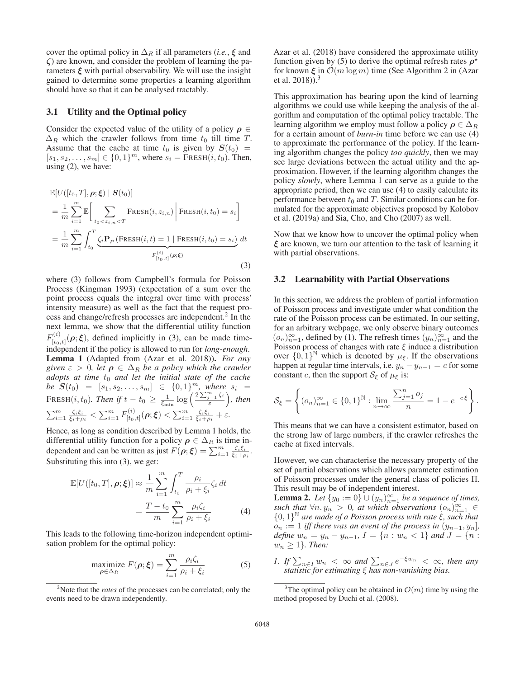cover the optimal policy in  $\Delta_R$  if all parameters (*i.e.*,  $\xi$  and *ζ*) are known, and consider the problem of learning the parameters  $\xi$  with partial observability. We will use the insight gained to determine some properties a learning algorithm should have so that it can be analysed tractably.

### 3.1 Utility and the Optimal policy

Consider the expected value of the utility of a policy  $\rho \in$  $\Delta_R$  which the crawler follows from time  $t_0$  till time T. Assume that the cache at time  $t_0$  is given by  $S(t_0)$  =  $[s_1, s_2,...,s_m] \in \{0,1\}^m$ , where  $s_i = \text{F}$ RESH $(i, t_0)$ . Then, using (2), we have:

$$
\mathbb{E}[U([t_0, T], \rho; \xi) | S(t_0)]
$$
\n
$$
= \frac{1}{m} \sum_{i=1}^{m} \mathbb{E} \bigg[ \sum_{t_0 < z_{i,n} < T} \text{FRESH}(i, z_{i,n}) \bigg| \text{FRESH}(i, t_0) = s_i \bigg]
$$
\n
$$
= \frac{1}{m} \sum_{i=1}^{m} \int_{t_0}^{T} \underbrace{\zeta_i \mathbf{P}_{\rho} \left( \text{FRESH}(i, t) = 1 \mid \text{FRESH}(i, t_0) = s_i \right)}_{F(t_0, t]} dt
$$
\n
$$
(3)
$$

where (3) follows from Campbell's formula for Poisson Process (Kingman 1993) (expectation of a sum over the point process equals the integral over time with process' intensity measure) as well as the fact that the request process and change/refresh processes are independent.<sup>2</sup> In the next lemma, we show that the differential utility function  $F_{[t_0,t]}^{(i)}(\rho;\xi)$ , defined implicitly in (3), can be made time-<br>independent if the notion is allowed to run for long anguals independent if the policy is allowed to run for *long-enough*. Lemma 1 (Adapted from (Azar et al. 2018)). *For any given*  $\varepsilon > 0$ , *let*  $\rho \in \Delta_R$  *be a policy which the crawler adopts at time*  $t_0$  *and let the initial state of the cache be*  $S(t_0) = [s_1, s_2, \ldots, s_m] \in \{0, 1\}^m$ , where  $s_i = \sum_{i=1}^m s_i$ FRESH(*i*, *t*<sub>0</sub>). Then if  $t - t_0 \ge \frac{1}{\xi_{\min}} \log \left( \frac{2 \sum_{j=1}^m \zeta_i}{\varepsilon} \right)$ , then  $\sum_{i=1}^{m} \frac{\zeta_i \xi_i}{\xi_i + \rho_i} < \sum_{i=1}^{m} F_{[t_0,t]}^{(i)}(\rho; \xi) < \sum_{i=1}^{m} \frac{\zeta_i \xi_i}{\xi_i + \rho_i} + \varepsilon.$ 

Hence, as long as condition described by Lemma 1 holds, the differential utility function for a policy  $\rho \in \Delta_R$  is time independent and can be written as just  $F(\rho; \boldsymbol{\xi}) = \sum_{i=1}^{m} \frac{\zeta_i \xi_i}{\xi_i + \rho_i}$ .<br>Substituting this into (3), we get: Substituting this into (3), we get:

$$
\mathbb{E}[U([t_0, T], \rho; \xi)] \approx \frac{1}{m} \sum_{i=1}^{m} \int_{t_0}^{T} \frac{\rho_i}{\rho_i + \xi_i} \zeta_i dt
$$

$$
= \frac{T - t_0}{m} \sum_{i=1}^{m} \frac{\rho_i \zeta_i}{\rho_i + \xi_i} \tag{4}
$$

This leads to the following time-horizon independent optimisation problem for the optimal policy:

$$
\underset{\rho \in \Delta_R}{\text{maximize}} \ F(\rho; \xi) = \sum_{i=1}^m \frac{\rho_i \zeta_i}{\rho_i + \xi_i} \tag{5}
$$

Azar et al. (2018) have considered the approximate utility function given by (5) to derive the optimal refresh rates  $\rho^*$ for known *<sup>ξ</sup>* in <sup>O</sup>(<sup>m</sup> log <sup>m</sup>) time (See Algorithm 2 in (Azar et al. 2018)).<sup>3</sup>

This approximation has bearing upon the kind of learning algorithms we could use while keeping the analysis of the algorithm and computation of the optimal policy tractable. The learning algorithm we employ must follow a policy  $\rho \in \Delta_R$ for a certain amount of *burn-in* time before we can use (4) to approximate the performance of the policy. If the learning algorithm changes the policy *too quickly*, then we may see large deviations between the actual utility and the approximation. However, if the learning algorithm changes the policy *slowly*, where Lemma 1 can serve as a guide to the appropriate period, then we can use (4) to easily calculate its performance between  $t_0$  and T. Similar conditions can be formulated for the approximate objectives proposed by Kolobov et al. (2019a) and Sia, Cho, and Cho (2007) as well.

Now that we know how to uncover the optimal policy when *ξ* are known, we turn our attention to the task of learning it with partial observations.

#### 3.2 Learnability with Partial Observations

In this section, we address the problem of partial information of Poisson process and investigate under what condition the rate of the Poisson process can be estimated. In our setting, for an arbitrary webpage, we only observe binary outcomes  $(o_n)_{n=1}^{\infty}$ , defined by (1). The refresh times  $(y_n)_{n=1}^{\infty}$  and the Poisson process of changes with rate  $\xi$  induce a distribution Poisson process of changes with rate  $\xi$  induce a distribution over  $\{0, 1\}^{\mathbb{N}}$  which is denoted by  $\mu_{\xi}$ . If the observations happen at regular time intervals, i.e.  $y_n - y_{n-1} = c$  for some constant c, then the support  $S_{\xi}$  of  $\mu_{\xi}$  is:

$$
\mathcal{S}_{\xi} = \left\{ (o_n)_{n=1}^{\infty} \in \{0,1\}^{\mathbb{N}} : \lim_{n \to \infty} \frac{\sum_{j=1}^{n} o_j}{n} = 1 - e^{-c \xi} \right\}.
$$

This means that we can have a consistent estimator, based on the strong law of large numbers, if the crawler refreshes the cache at fixed intervals.

However, we can characterise the necessary property of the set of partial observations which allows parameter estimation of Poisson processes under the general class of policies Π. This result may be of independent interest.

**Lemma 2.** Let  $\{y_0 := 0\} \cup (y_n)_{n=1}^{\infty}$  be a sequence of times,<br>such that  $\forall n, y_n > 0$  at which observations  $(o_n)_{n=1}^{\infty} \in$ *such that*  $\forall n, y_n > 0$ , *at which observations*  $(o_n)_{n=1}^{\infty} \in$ <br>{0.1}<sup>*N*</sup> are made of a Poisson process with rate  $\xi$  such that  $\{0,1\}^{\mathbb{N}}$  *are made of a Poisson process with rate*  $\xi$ *, such that*  $o_n := 1$  *iff there was an event of the process in*  $(y_{n-1}, y_n]$ , *define*  $w_n = y_n - y_{n-1}$ ,  $I = \{n : w_n < 1\}$  *and*  $J = \{n : w_n \geq 1\}$  $w_n \geq 1$ *}. Then:* 

*1. If*  $\sum_{n\in I} w_n < \infty$  *and*  $\sum_{n\in J} e^{-\xi w_n} < \infty$ *, then any statistic for estimating* ξ *has non-vanishing bias.*

<sup>2</sup> Note that the *rates* of the processes can be correlated; only the events need to be drawn independently.

<sup>&</sup>lt;sup>3</sup>The optimal policy can be obtained in  $\mathcal{O}(m)$  time by using the hod proposed by Duchi et al. (2008) method proposed by Duchi et al. (2008).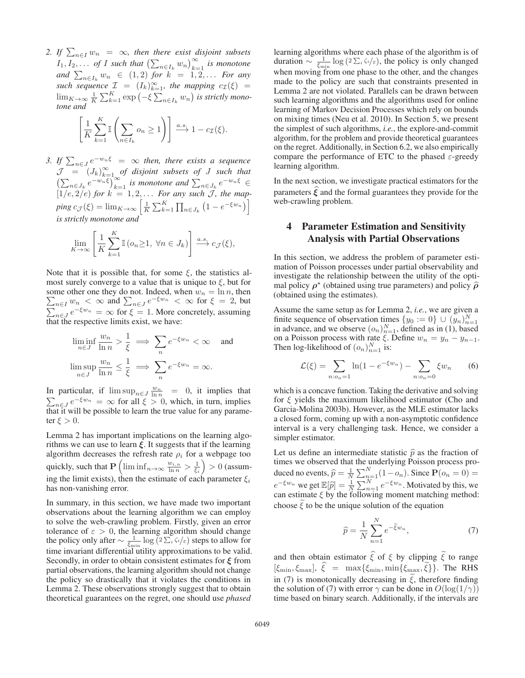2. If  $\sum_{n\in I} w_n = \infty$ , then there exist disjoint subsets  $I_1, I_2, \ldots$  *of I* such that  $\left(\sum_{n \in I_k} w_n\right)_{k=1}^{\infty}$  is monotone and  $\sum_{n\in I_k} w_n \in (1,2)$  *for*  $k = 1,2,...$  *For any*<br>*such sequence*  $\mathcal{T} = (L)^\infty$  *the manning*  $e^{-(\xi)}$  *= such sequence*  $\mathcal{I} = (I_k)_{k=1}^{\infty}$ , the mapping  $c_{\mathcal{I}}(\xi) =$ <br> $\lim_{k \to \infty} \frac{1}{k} \sum_{k=1}^{K} c_{k}$  and  $(\xi)$  is attistiveness.  $\lim_{K\to\infty}\frac{1}{K}\sum_{k=1}^K \exp(-\xi\sum_{n\in I_k}w_n)$  is strictly mono-<br>tone and *tone and*

$$
\left[\frac{1}{K}\sum_{k=1}^{K}\mathbb{I}\left(\sum_{n\in I_k}o_n\geq 1\right)\right]\xrightarrow{a.s.}1-c_{\mathcal{I}}(\xi).
$$

*3. If*  $\sum_{n \in J} e^{-w_n \xi} = \infty$  *then, there exists a sequence*  $\mathcal{I} = (L)^\infty$  of disjoint subsets of *L* such that  $J = (J_k)_{k=1}^{\infty}$  *of disjoint subsets of J such that*<br> $(\sum_{k=1}^{\infty} a_k e_k)^{\infty}$  *is monotons and*  $\sum_{k=1}^{\infty} a_k e_k$  $\left(\sum_{n\in J_k} e^{-w_n\xi}\right)_{k=1}^{\infty}$  *is monotone and*  $\sum_{n\in J_k} e^{-w_n\xi} \in$  $[1/e, 2/e)$  *for*  $k = 1, 2, \ldots$  *For any such J*, the map- $\begin{bmatrix} \text{ping } c_J(\xi) = \lim_{K \to \infty} \left[ \frac{1}{K} \sum_{k=1}^K \prod_{n \in J_k} (1 - e^{-\xi w_n}) \right] \end{bmatrix}$ *is strictly monotone and*

$$
\lim_{K \to \infty} \left[ \frac{1}{K} \sum_{k=1}^{K} \mathbb{I} \left( o_n \ge 1, \ \forall n \in J_k \right) \right] \xrightarrow{a.s.} c_{\mathcal{J}}(\xi),
$$

Note that it is possible that, for some  $\xi$ , the statistics almost surely converge to a value that is unique to  $\xi$ , but for some other one they do not. Indeed, when  $w_n = \ln n$ , then  $\sum_{n=1}^{\infty} w_n < \infty$  and  $\sum_{n=1}^{\infty} e^{-\xi w_n} < \infty$  for  $\xi = 2$  but  $\sum_{n\in I} w_n < \infty$  and  $\sum_{n\in J} e^{-\xi w_n} < \infty$  for  $\xi = 2$ , but  $\sum_{n\in J} e^{-\xi w_n} = \infty$  for  $\xi = 1$ . More concretely, assuming that the respective limits exist we have: that the respective limits exist, we have:

$$
\liminf_{n \in J} \frac{w_n}{\ln n} > \frac{1}{\xi} \implies \sum_n e^{-\xi w_n} < \infty \quad \text{and}
$$

$$
\limsup_{n \in J} \frac{w_n}{\ln n} \le \frac{1}{\xi} \implies \sum_n e^{-\xi w_n} = \infty.
$$

In particular, if  $\limsup_{n \in J} \frac{w_n}{\ln n} = 0$ , it implies that  $\sum_{n \in J} e^{-\xi w_n} = \infty$  for all  $\xi > 0$ , which, in turn, implies that it will be possible to learn the true value for any parameter  $\xi > 0$ .

Lemma 2 has important implications on the learning algorithms we can use to learn  $\xi$ . It suggests that if the learning algorithm decreases the refresh rate  $\rho_i$  for a webpage too quickly, such that  $\mathbf{P}\left(\liminf_{n\to\infty}\frac{w_{i,n}}{\ln n} > \frac{1}{\xi_i}\right) > 0$  (assuming the limit exists), then the estimate of each parameter  $\xi_i$ has non-vanishing error.

In summary, in this section, we have made two important observations about the learning algorithm we can employ to solve the web-crawling problem. Firstly, given an error tolerance of  $\varepsilon > 0$ , the learning algorithm should change<br>the policy only after ∼  $\frac{1}{\xi_{\min}^{\text{min}}}$  log  $(2 \Sigma_i \xi_i / \varepsilon)$  steps to allow for time invariant differential utility approximations to be valid. Secondly, in order to obtain consistent estimates for *ξ* from partial observations, the learning algorithm should not change the policy so drastically that it violates the conditions in Lemma 2. These observations strongly suggest that to obtain theoretical guarantees on the regret, one should use *phased*

learning algorithms where each phase of the algorithm is of duration  $\sim \frac{1}{\xi_{\min}} \log (2 \Sigma_i \zeta_i/\varepsilon)$ , the policy is only changed<br>when moving from one phase to the other and the changes when moving from one phase to the other, and the changes made to the policy are such that constraints presented in Lemma 2 are not violated. Parallels can be drawn between such learning algorithms and the algorithms used for online learning of Markov Decision Processes which rely on bounds on mixing times (Neu et al. 2010). In Section 5, we present the simplest of such algorithms, *i.e.*, the explore-and-commit algorithm, for the problem and provide theoretical guarantees on the regret. Additionally, in Section 6.2, we also empirically compare the performance of ETC to the phased  $\varepsilon$ -greedy learning algorithm.

In the next section, we investigate practical estimators for the parameters *ξ* and the formal guarantees they provide for the web-crawling problem.

# 4 Parameter Estimation and Sensitivity Analysis with Partial Observations

In this section, we address the problem of parameter estimation of Poisson processes under partial observability and investigate the relationship between the utility of the optimal policy  $\rho^*$  (obtained using true parameters) and policy  $\hat{\rho}$ (obtained using the estimates).

Assume the same setup as for Lemma 2, *i.e.*, we are given a finite sequence of observation times  $\{y_0 := 0\} \cup (y_n)_{n=1}^N$ <br>in advance and we observe  $(o_n)^N$ , defined as in (1) hased in advance, and we observe  $(o_n)_{n=1}^N$ , defined as in (1), based<br>on a Poisson process with rate  $\epsilon$ . Define  $w_n = u_n - u_{n-1}$ on a Poisson process with rate  $\xi$ . Define  $w_n = y_n - y_{n-1}$ .<br>Then log-likelihood of  $(\alpha)^N$ , is: Then log-likelihood of  $(o_n)_{n=1}^N$  is:

$$
\mathcal{L}(\xi) = \sum_{n: o_n = 1} \ln(1 - e^{-\xi w_n}) - \sum_{n: o_n = 0} \xi w_n \qquad (6)
$$

which is a concave function. Taking the derivative and solving for  $\xi$  yields the maximum likelihood estimator (Cho and Garcia-Molina 2003b). However, as the MLE estimator lacks a closed form, coming up with a non-asymptotic confidence interval is a very challenging task. Hence, we consider a simpler estimator.

Let us define an intermediate statistic  $\hat{p}$  as the fraction of times we observed that the underlying Poisson process produced no events,  $\hat{p} = \frac{1}{N} \sum_{n=1}^{N} (1 - o_n)$ . Since  $\mathbf{P}(o_n = 0) =$  $e^{-\xi w_n}$  we get  $\mathbb{E}[\hat{p}] = \frac{1}{N} \sum_{n=1}^{N} e^{-\xi w_n}$ . Motivated by this, we can estimate  $\xi$  by the following moment matching method can estimate  $\xi$  by the following moment matching method: choose  $\tilde{\xi}$  to be the unique solution of the equation

$$
\widehat{p} = \frac{1}{N} \sum_{n=1}^{N} e^{-\widetilde{\xi}w_n},\tag{7}
$$

and then obtain estimator  $\hat{\xi}$  of  $\xi$  by clipping  $\tilde{\xi}$  to range  $[\xi_{\min}, \xi_{\max}]$ ,  $\hat{\xi} = \max{\{\xi_{\min}, \min{\{\xi_{\max}, \tilde{\xi}\}\}}}.$  The RHS in (7) is monotonically decreasing in  $\tilde{\xi}$ , therefore finding<br>the solution of (7) with group way be dange in  $O(\log(1/\epsilon))$ the solution of (7) with error  $\gamma$  can be done in  $O(\log(1/\gamma))$ time based on binary search. Additionally, if the intervals are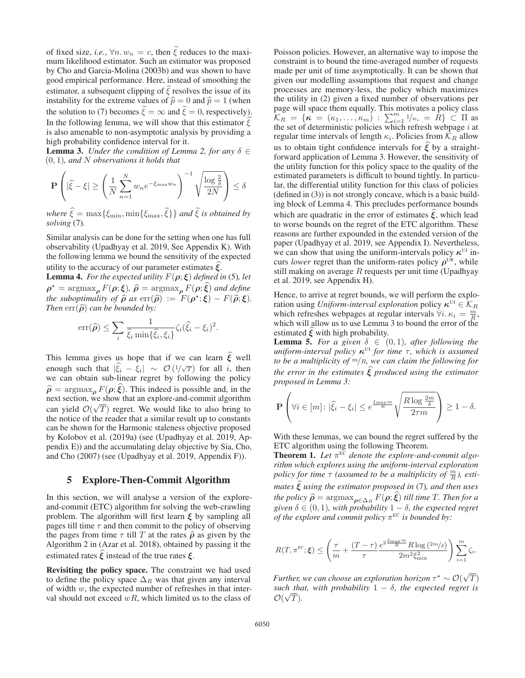of fixed size, *i.e.*,  $\forall n, w_n = c$ , then  $\tilde{\xi}$  reduces to the maximum likelihood estimator. Such an estimator was proposed mum likelihood estimator. Such an estimator was proposed by Cho and Garcia-Molina (2003b) and was shown to have good empirical performance. Here, instead of smoothing the estimator, a subsequent clipping of  $\tilde{\xi}$  resolves the issue of its<br>instability for the entropy enlace of  $\hat{\xi}$  = 0 and  $\hat{\xi}$  = 1 (when instability for the extreme values of  $\hat{p} = 0$  and  $\hat{p} = 1$  (when the solution to (7) becomes  $\tilde{\xi} = \infty$  and  $\tilde{\xi} = 0$ , respectively).<br>In the following lamma, we will show that this estimator  $\hat{\xi}$ In the following lemma, we will show that this estimator  $\xi$ In the ronowing femma, we win show that this estimator  $\zeta$  is also amenable to non-asymptotic analysis by providing a high probability confidence interval for it.

**Lemma 3.** *Under the condition of Lemma 2, for any*  $\delta \in$ (0, 1)*, and* <sup>N</sup> *observations it holds that*

$$
\mathbf{P}\left(|\hat{\xi} - \xi| \ge \left(\frac{1}{N} \sum_{n=1}^{N} w_n e^{-\xi_{\max} w_n}\right)^{-1} \sqrt{\frac{\log \frac{2}{\delta}}{2N}}\right) \le \delta
$$

 $where \ \hat{\xi} = \max\{\xi_{\min}, \min\{\xi_{\max}, \tilde{\xi}\}\}$  *and*  $\tilde{\xi}$  *is obtained by solving* (7) *solving* (7)*.*

Similar analysis can be done for the setting when one has full observability (Upadhyay et al. 2019, See Appendix K). With the following lemma we bound the sensitivity of the expected

utility to the accuracy of our parameter estimates *ξ*. **Lemma 4.** *For the expected utility*  $F(\rho; \xi)$  *defined in* (5)*, let*  $\rho^* = \argmax_{\rho} F(\rho; \xi), \quad \hat{\rho} = \argmax_{\rho} F(\rho; \hat{\xi}) \text{ and define}$ <br>the subontimality of  $\hat{\beta}$  as  $\exp(\hat{\beta}) := F(\rho^*, \xi) - F(\hat{\alpha}, \xi)$ *the suboptimality of*  $\hat{\rho}$  *as*  $\text{err}(\hat{\rho}) := F(\rho^*; \xi) - F(\hat{\rho}; \xi)$ . *Then*  $err(\hat{\rho})$  *can be bounded by:* 

$$
\operatorname{err}(\widehat{\boldsymbol{\rho}}) \leq \sum_{i} \frac{1}{\widehat{\xi}_i \min\{\widehat{\xi}_i, \xi_i\}} \zeta_i (\widehat{\xi}_i - \xi_i)^2.
$$

This lemma gives us hope that if we can learn  $\xi$  well enough such that  $|\hat{\xi}_i - \hat{\xi}_i| \sim O(1/\sqrt{T})$  for all *i*, then we can obtain sub-linear regret by following the policy  $\hat{\rho}$  = argmax<sub>*ρ*</sub>  $F(\rho;\hat{\xi})$ . This indeed is possible and, in the next section, we show that an explore-and-commit algorithm next section, we show that an explore-and-commit algorithm can yield  $\mathcal{O}(\sqrt{T})$  regret. We would like to also bring to the notice of the reader that a similar result up to constants the notice of the reader that a similar result up to constants can be shown for the Harmonic staleness objective proposed by Kolobov et al. (2019a) (see (Upadhyay et al. 2019, Appendix E)) and the accumulating delay objective by Sia, Cho, and Cho (2007) (see (Upadhyay et al. 2019, Appendix F)).

### 5 Explore-Then-Commit Algorithm

In this section, we will analyse a version of the exploreand-commit (ETC) algorithm for solving the web-crawling problem. The algorithm will first learn *ξ* by sampling all pages till time  $\tau$  and then commit to the policy of observing the pages from time  $\tau$  till T at the rates  $\hat{\rho}$  as given by the Algorithm 2 in (Azar et al. 2018), obtained by passing it the estimated rates *ξ* instead of the true rates *<sup>ξ</sup>*.

Revisiting the policy space. The constraint we had used to define the policy space  $\Delta_R$  was that given any interval of width  $w$ , the expected number of refreshes in that interval should not exceed  $wR$ , which limited us to the class of Poisson policies. However, an alternative way to impose the constraint is to bound the time-averaged number of requests made per unit of time asymptotically. It can be shown that given our modelling assumptions that request and change processes are memory-less, the policy which maximizes the utility in (2) given a fixed number of observations per page will space them equally. This motivates a policy class  $\mathcal{K}_R = \{ \kappa = (\kappa_1, ..., \kappa_m) : \sum_{i=1}^m 1/\kappa_i = R \} \subset \Pi$  as the set of deterministic policies which refresh webpage *i* at regular time intervals of length  $\kappa_i$ . Policies from  $\mathcal{K}_R$  allow us to obtain tight confidence intervals for  $\xi$  by a straight-<br>formed englisation of Lamma 2. However, the consituity of forward application of Lemma 3. However, the sensitivity of the utility function for this policy space to the quality of the estimated parameters is difficult to bound tightly. In particular, the differential utility function for this class of policies (defined in (3)) is not strongly concave, which is a basic building block of Lemma 4. This precludes performance bounds which are quadratic in the error of estimates  $\xi$ , which lead to worse bounds on the regret of the ETC algorithm. These reasons are further expounded in the extended version of the paper (Upadhyay et al. 2019, see Appendix I). Nevertheless, we can show that using the uniform-intervals policy  $\kappa^{UI}$  incurs *lower* regret than the uniform-rates policy  $\rho^{\text{UR}}$ , while still making on average  $R$  requests per unit time (Upadhyay et al. 2019, see Appendix H).

Hence, to arrive at regret bounds, we will perform the exploration using *Uniform-interval exploration* policy  $\kappa^{\text{UI}} \in \mathcal{K}_R$ which refreshes webpages at regular intervals  $\forall i$ .  $\kappa_i = \frac{m}{R}$ , which will allow us to use I emma 3 to bound the error of the which will allow us to use Lemma 3 to bound the error of the estimated *ξ* with high probability.

**Lemma 5.** For a given  $\delta \in (0,1)$ , after following the *uniform-interval policy*  $\kappa$ <sup>UI</sup> *for time*  $\tau$ , which is assumed *to be a multiplicity of* <sup>m</sup>/R*, we can claim the following for the error in the estimates ξ produced using the estimator proposed in Lemma 3:*

$$
\mathbf{P}\left(\forall i \in [m]: |\hat{\xi}_i - \xi_i| \le e^{\frac{\xi_{\max} m}{R}} \sqrt{\frac{R \log \frac{2m}{\delta}}{2\tau m}} \right) \ge 1 - \delta.
$$

With these lemmas, we can bound the regret suffered by the ETC algorithm using the following Theorem.

**Theorem 1.** Let  $\pi^{\text{EC}}$  denote the explore-and-commit algo*rithm which explores using the uniform-interval exploration policy for time*  $\tau$  *(assumed to be a multiplicity of*  $\frac{m}{R}$ *), estimates ξ using the estimator proposed in* (7)*, and then uses the policy*  $\hat{\rho} = \operatorname{argmax}_{\rho \in \Delta_R} F(\rho; \hat{\xi})$  *till time* T. Then for a civen  $\delta \in (0, 1)$  with probability  $1 - \delta$ , the expected regret *given*  $\delta \in (0, 1)$ *, with probability*  $1 - \delta$ *, the expected regret of the explore and commit policy*  $\pi$ <sup>EC</sup> *is bounded by:* 

$$
R(T, \pi^{\text{EC}}; \xi) \le \left(\frac{\tau}{m} + \frac{(T-\tau)}{\tau} \frac{e^{2\frac{\xi_{\text{max}}m}{R}} R \log{(2m/\delta)}}{2m^2 \xi_{\text{min}}^2}\right) \sum_{i=1}^m \zeta_i.
$$

*Further, we can choose an exploration horizon*  $\tau^* \sim \mathcal{O}(\sqrt{T})$  *such that with probability*  $1 - \delta$  *the expected regret is such that, with probability*  $1 - \delta$ *, the expected regret is*  $\mathcal{O}(\sqrt{T})$  $\mathcal{O}(\sqrt{T}).$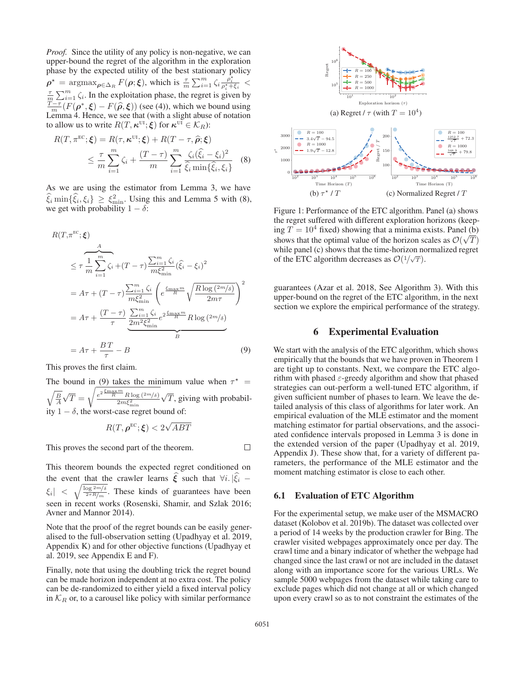*Proof.* Since the utility of any policy is non-negative, we can upper-bound the regret of the algorithm in the exploration phase by the expected utility of the best stationary policy  $\rho^* = \operatorname{argmax}_{\rho \in \Delta_R} F(\rho; \xi)$ , which is  $\frac{\tau}{m} \sum_{i=1}^m \zeta_i \frac{\rho_i^*}{\rho_i^* + \xi_i}$  $\frac{\tau}{m} \sum_{i=1}^{m} \zeta_i$ . In the exploitation phase, the regret is given by  $\frac{T-\tau}{m}(F(\rho^*, \xi) - F(\hat{\rho}, \xi))$  (see (4)), which we bound using<br>Lemma 4. Hence, we see that (with a slight abuse of notation Lemma 4. Hence, we see that (with a slight abuse of notation to allow us to write  $R(T, \kappa^{UI}; \xi)$  for  $\kappa^{UI} \in \mathcal{K}_R$ ):

$$
R(T, \pi^{\text{EC}}; \xi) = R(\tau, \kappa^{\text{UI}}; \xi) + R(T - \tau, \hat{\rho}; \xi)
$$
  
 
$$
\leq \frac{\tau}{m} \sum_{i=1}^{m} \zeta_i + \frac{(T - \tau)}{m} \sum_{i=1}^{m} \frac{\zeta_i(\hat{\xi}_i - \xi_i)^2}{\hat{\xi}_i \min\{\hat{\xi}_i, \xi_i\}} \quad (8)
$$

As we are using the estimator from Lemma 3, we have  $\hat{\xi}_i$  min $\{\hat{\xi}_i, \xi_i\} \geq \xi_{\text{min}}^2$ . Using this and Lemma 5 with (8), we get with probability  $1 - \delta$ . we get with probability  $1 - \delta$ :

$$
R(T, \pi^{\text{EC}}; \xi)
$$
  
\n
$$
\leq \tau \frac{1}{m} \sum_{i=1}^{m} \zeta_i + (T - \tau) \frac{\sum_{i=1}^{m} \zeta_i}{m \xi_{\min}^2} (\hat{\xi}_i - \xi_i)^2
$$
  
\n
$$
= A\tau + (T - \tau) \frac{\sum_{i=1}^{m} \zeta_i}{m \xi_{\min}^2} \left( e^{\frac{\xi_{\max} m}{R}} \sqrt{\frac{R \log (2m/\delta)}{2m\tau}} \right)^2
$$
  
\n
$$
= A\tau + \frac{(T - \tau)}{\tau} \underbrace{\sum_{i=1}^{m} \zeta_i}_{2m^2 \xi_{\min}^2} e^{2 \frac{\xi_{\max} m}{R}} R \log (2m/\delta)
$$
  
\n
$$
= A\tau + \frac{BT}{\tau} - B
$$
 (9)

This proves the first claim.

The bound in (9) takes the minimum value when  $\tau^* = \sqrt{\frac{B}{A}}\sqrt{T} = \sqrt{\frac{e^{2\frac{\xi_{\text{max}}m}{R}R\log(2m/s)}}{2m\xi_{\text{min}}^2}}\sqrt{T}$ , giving with probabil- $\sqrt{T} = \sqrt{\frac{e^{2\frac{\xi_{\rm max}m}{R}}R\log{(2m/\delta)}}{2m\xi_{\rm min}^2}}$  $\sqrt{T}$ , giving with probability  $1 - \delta$ , the worst-case regret bound of:

$$
R(T,\boldsymbol{\rho}^{\text{EC}};\boldsymbol{\xi})<2\sqrt{ABT}
$$

This proves the second part of the theorem.

This theorem bounds the expected regret conditioned on the event that the crawler learns  $\hat{\xi}$  such that  $\forall i$ .  $|\hat{\xi}_i - \hat{\xi}_i|$  $|\xi_i|$  $\sqrt{\frac{\log 2m}{2\tau R/m}}$ . These kinds of guarantees have been seen in recent works (Rosenski, Shamir, and Szlak 2016; Avner and Mannor 2014).

Note that the proof of the regret bounds can be easily generalised to the full-observation setting (Upadhyay et al. 2019, Appendix K) and for other objective functions (Upadhyay et al. 2019, see Appendix E and F).

Finally, note that using the doubling trick the regret bound can be made horizon independent at no extra cost. The policy can be de-randomized to either yield a fixed interval policy in  $\mathcal{K}_R$  or, to a carousel like policy with similar performance



Figure 1: Performance of the ETC algorithm. Panel (a) shows the regret suffered with different exploration horizons (keeping  $T = 10^4$  fixed) showing that a minima exists. Panel (b) shows that the optimal value of the horizon scales as  $\mathcal{O}(\sqrt{T})$ shows that the optimal value of the horizon scales as  $\mathcal{O}(\sqrt{T})$ <br>while panel (c) shows that the time-horizon normalized regret while panel (c) shows that the time-horizon normalized regret of the ETC algorithm decreases as  $\mathcal{O}(1/\sqrt{T})$ .

guarantees (Azar et al. 2018, See Algorithm 3). With this upper-bound on the regret of the ETC algorithm, in the next section we explore the empirical performance of the strategy.

### 6 Experimental Evaluation

We start with the analysis of the ETC algorithm, which shows empirically that the bounds that we have proven in Theorem 1 are tight up to constants. Next, we compare the ETC algorithm with phased  $\varepsilon$ -greedy algorithm and show that phased strategies can out-perform a well-tuned ETC algorithm, if given sufficient number of phases to learn. We leave the detailed analysis of this class of algorithms for later work. An empirical evaluation of the MLE estimator and the moment matching estimator for partial observations, and the associated confidence intervals proposed in Lemma 3 is done in the extended version of the paper (Upadhyay et al. 2019, Appendix J). These show that, for a variety of different parameters, the performance of the MLE estimator and the moment matching estimator is close to each other.

#### 6.1 Evaluation of ETC Algorithm

For the experimental setup, we make user of the MSMACRO dataset (Kolobov et al. 2019b). The dataset was collected over a period of 14 weeks by the production crawler for Bing. The crawler visited webpages approximately once per day. The crawl time and a binary indicator of whether the webpage had changed since the last crawl or not are included in the dataset along with an importance score for the various URLs. We sample 5000 webpages from the dataset while taking care to exclude pages which did not change at all or which changed upon every crawl so as to not constraint the estimates of the

 $\Box$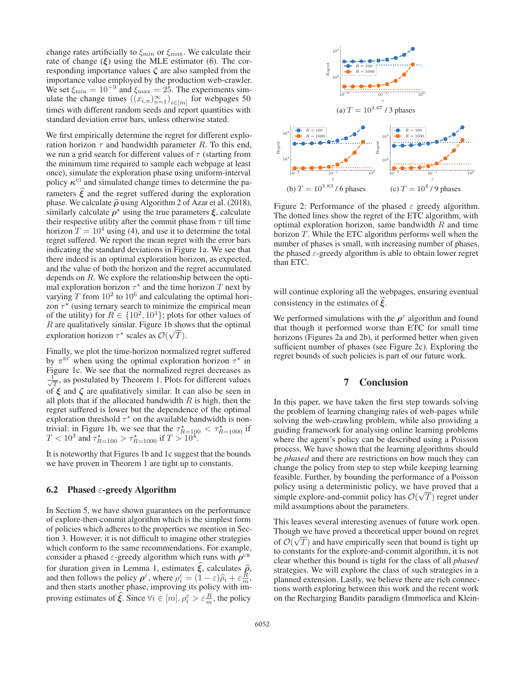change rates artificially to  $\xi_{\text{min}}$  or  $\xi_{\text{max}}$ . We calculate their rate of change  $(\xi)$  using the MLE estimator (6). The corresponding importance values *ζ* are also sampled from the importance value employed by the production web-crawler. We set  $\xi_{\min} = 10^{-9}$  and  $\xi_{\max} = 25$ . The experiments sim-<br>ulate the change times  $((x_i)_{i\infty})_{i\in\mathbb{N}}$  for webpages 50 ulate the change times  $((x_{i,n})_{n=1}^{\infty})_{i\in[m]}$  for webpages 50<br>times with different random seeds and report quantities with times with different random seeds and report quantities with standard deviation error bars, unless otherwise stated.

We first empirically determine the regret for different exploration horizon  $\tau$  and bandwidth parameter R. To this end, we run a grid search for different values of  $\tau$  (starting from the minimum time required to sample each webpage at least once), simulate the exploration phase using uniform-interval policy  $\kappa^{UI}$  and simulated change times to determine the parameters  $\xi$  and the regret suffered during the exploration<br>whose We selected  $\hat{\lambda}$  using Algorithm 2 of Agent al. (2018) phase. We calculate  $\hat{\rho}$  using Algorithm 2 of Azar et al. (2018), similarly calculate  $\rho^*$  using the true parameters  $\xi$ , calculate their respective utility after the commit phase from  $\tau$  till time horizon  $T = 10<sup>4</sup>$  using (4), and use it to determine the total regret suffered. We report the mean regret with the error bars indicating the standard deviations in Figure 1a. We see that there indeed is an optimal exploration horizon, as expected, and the value of both the horizon and the regret accumulated depends on R. We explore the relationship between the optimal exploration horizon  $\tau^*$  and the time horizon T next by varying  $T$  from  $10^2$  to  $10^6$  and calculating the optimal horizon  $\tau^*$  (using ternary search to minimize the empirical mean of the utility) for  $R \in \{10^2, 10^3\}$ ; plots for other values of R are qualitatively similar. Figure 1b shows that the optimal exploration horizon  $\tau^*$  scales as  $\mathcal{O}(\sqrt{T})$ .

Finally, we plot the time-horizon normalized regret suffered by  $\pi^{\text{EC}}$  when using the optimal exploration horizon  $\tau^*$  in Figure 1c. We see that the normalized regret decreases as  $\frac{1}{\sqrt{T}}$ , as postulated by Theorem 1. Plots for different values of *ξ* and *ζ* are qualitatively similar. It can also be seen in all plots that if the allocated bandwidth  $R$  is high, then the regret suffered is lower but the dependence of the optimal exploration threshold  $\tau^*$  on the available bandwidth is nontrivial: in Figure 1b, we see that the  $\tau_{R=100}^{\star} < \tau_{R=1000}^{\star}$  if  $T < 10^3$  and  $\tau_{R=100}^{\star} > \tau_{R=1000}^{\star}$  if  $T > 10^4$ .

It is noteworthy that Figures 1b and 1c suggest that the bounds we have proven in Theorem 1 are tight up to constants.

#### 6.2 Phased  $\varepsilon$ -greedy Algorithm

In Section 5, we have shown guarantees on the performance of explore-then-commit algorithm which is the simplest form of policies which adheres to the properties we mention in Section 3. However, it is not difficult to imagine other strategies which conform to the same recommendations. For example, consider a phased  $\varepsilon$ -greedy algorithm which runs with  $\rho^{UR}$ for duration given in Lemma 1, estimates  $\xi$ , calculates  $\hat{\rho}$ ,<br>and then follows the policy  $\rho^{\varepsilon}$  where  $\rho^{\varepsilon} = (1 - \varepsilon)\hat{\rho} + \varepsilon \frac{R}{2}$ . and then follows the policy  $\rho^{\varepsilon}$ , where  $\rho_i^{\varepsilon} = (1 - \varepsilon)\hat{\rho}_i + \varepsilon \frac{R}{m}$ ,<br>and then starts another phase, improving its policy with imand then starts another phase, improving its policy with improving estimates of  $\hat{\xi}$ . Since  $\forall i \in [m]$ .  $\rho_i^{\varepsilon} > \varepsilon \frac{R}{m}$ , the policy



Figure 2: Performance of the phased  $\varepsilon$  greedy algorithm. The dotted lines show the regret of the ETC algorithm, with optimal exploration horizon, same bandwidth  $R$  and time horizon T. While the ETC algorithm performs well when the number of phases is small, with increasing number of phases, the phased  $\varepsilon$ -greedy algorithm is able to obtain lower regret than ETC.

will continue exploring all the webpages, ensuring eventual consistency in the estimates of *ξ* .

We performed simulations with the  $\rho^{\varepsilon}$  algorithm and found that though it performed worse than ETC for small time horizons (Figures 2a and 2b), it performed better when given sufficient number of phases (see Figure 2c). Exploring the regret bounds of such policies is part of our future work.

## 7 Conclusion

In this paper, we have taken the first step towards solving the problem of learning changing rates of web-pages while solving the web-crawling problem, while also providing a guiding framework for analysing online learning problems where the agent's policy can be described using a Poisson process. We have shown that the learning algorithms should be *phased* and there are restrictions on how much they can change the policy from step to step while keeping learning feasible. Further, by bounding the performance of a Poisson policy using a deterministic policy, we have proved that a simple explore-and-commit policy has  $\mathcal{O}(\sqrt{T})$  regret under mild assumptions about the parameters mild assumptions about the parameters.

This leaves several interesting avenues of future work open. Though we have proved a theoretical upper bound on regret of  $\mathcal{O}(\sqrt{T})$  and have empirically seen that bound is tight up<br>to constants for the explore-and-commit algorithm it is not to constants for the explore-and-commit algorithm, it is not clear whether this bound is tight for the class of all *phased* strategies. We will explore the class of such strategies in a planned extension. Lastly, we believe there are rich connections worth exploring between this work and the recent work on the Recharging Bandits paradigm (Immorlica and Klein